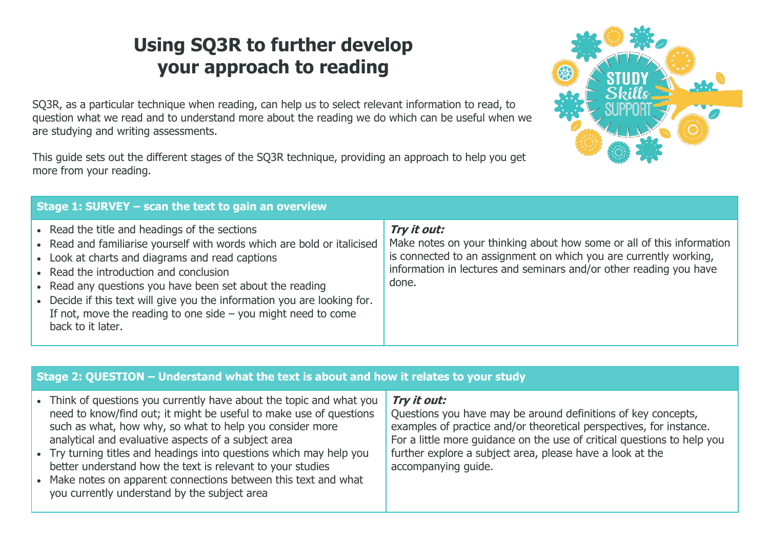# **Using SQ3R to further develop your approach to reading**

SQ3R, as a particular technique when reading, can help us to select relevant information to read, to question what we read and to understand more about the reading we do which can be useful when we are studying and writing assessments.

This guide sets out the different stages of the SQ3R technique, providing an approach to help you get more from your reading.

| Stage 1: SURVEY - scan the text to gain an overview                                                                                                                                                                                                                                                                                                                                                                                                 |                                                                                                                                                                                                                                          |  |
|-----------------------------------------------------------------------------------------------------------------------------------------------------------------------------------------------------------------------------------------------------------------------------------------------------------------------------------------------------------------------------------------------------------------------------------------------------|------------------------------------------------------------------------------------------------------------------------------------------------------------------------------------------------------------------------------------------|--|
| • Read the title and headings of the sections<br>• Read and familiarise yourself with words which are bold or italicised<br>• Look at charts and diagrams and read captions<br>• Read the introduction and conclusion<br>• Read any questions you have been set about the reading<br>Decide if this text will give you the information you are looking for.<br>If not, move the reading to one side $-$ you might need to come<br>back to it later. | Try it out:<br>Make notes on your thinking about how some or all of this information<br>is connected to an assignment on which you are currently working,<br>information in lectures and seminars and/or other reading you have<br>done. |  |

### **Stage 2: QUESTION – Understand what the text is about and how it relates to your study**

| better understand how the text is relevant to your studies<br>accompanying guide.<br>• Make notes on apparent connections between this text and what<br>you currently understand by the subject area |  |  | • Think of questions you currently have about the topic and what you<br>need to know/find out; it might be useful to make use of questions<br>such as what, how why, so what to help you consider more<br>analytical and evaluative aspects of a subject area<br>• Try turning titles and headings into questions which may help you | Try it out:<br>Questions you have may be around definitions of key concepts,<br>examples of practice and/or theoretical perspectives, for instance.<br>For a little more guidance on the use of critical questions to help you<br>further explore a subject area, please have a look at the |
|------------------------------------------------------------------------------------------------------------------------------------------------------------------------------------------------------|--|--|--------------------------------------------------------------------------------------------------------------------------------------------------------------------------------------------------------------------------------------------------------------------------------------------------------------------------------------|---------------------------------------------------------------------------------------------------------------------------------------------------------------------------------------------------------------------------------------------------------------------------------------------|
|------------------------------------------------------------------------------------------------------------------------------------------------------------------------------------------------------|--|--|--------------------------------------------------------------------------------------------------------------------------------------------------------------------------------------------------------------------------------------------------------------------------------------------------------------------------------------|---------------------------------------------------------------------------------------------------------------------------------------------------------------------------------------------------------------------------------------------------------------------------------------------|